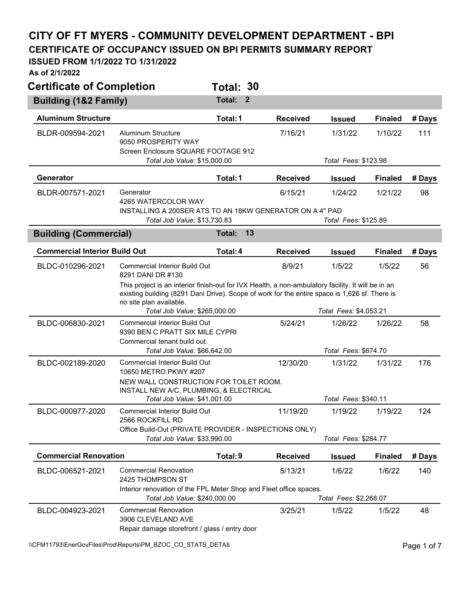## **CITY OF FT MYERS - COMMUNITY DEVELOPMENT DEPARTMENT - BPI CERTIFICATE OF OCCUPANCY ISSUED ON BPI PERMITS SUMMARY REPORT**

## **ISSUED FROM 1/1/2022 TO 1/31/2022**

**As of 2/1/2022** 

| <b>Certificate of Completion</b>     |                                                                                                                                                                                                                                | Total: 30                |                 |                                   |                |        |
|--------------------------------------|--------------------------------------------------------------------------------------------------------------------------------------------------------------------------------------------------------------------------------|--------------------------|-----------------|-----------------------------------|----------------|--------|
| <b>Building (1&amp;2 Family)</b>     |                                                                                                                                                                                                                                | Total:<br>$\overline{2}$ |                 |                                   |                |        |
| <b>Aluminum Structure</b>            |                                                                                                                                                                                                                                | Total: 1                 | <b>Received</b> | <b>Issued</b>                     | <b>Finaled</b> | # Days |
| BLDR-009594-2021                     | Aluminum Structure<br>9050 PROSPERITY WAY<br>Screen Enclosure SQUARE FOOTAGE 912                                                                                                                                               |                          | 7/16/21         | 1/31/22                           | 1/10/22        | 111    |
|                                      | Total Job Value: \$15,000.00                                                                                                                                                                                                   |                          |                 | Total Fees: \$123.98              |                |        |
| Generator                            |                                                                                                                                                                                                                                | Total: 1                 | <b>Received</b> | <b>Issued</b>                     | <b>Finaled</b> | # Days |
| BLDR-007571-2021                     | Generator<br>4265 WATERCOLOR WAY<br>INSTALLING A 200SER ATS TO AN 18KW GENERATOR ON A 4" PAD<br>Total Job Value: \$13,730.83                                                                                                   |                          | 6/15/21         | 1/24/22<br>Total Fees: \$125.89   | 1/21/22        | 98     |
| <b>Building (Commercial)</b>         |                                                                                                                                                                                                                                | 13<br>Total:             |                 |                                   |                |        |
| <b>Commercial Interior Build Out</b> |                                                                                                                                                                                                                                | Total: 4                 | <b>Received</b> | <b>Issued</b>                     | <b>Finaled</b> | # Days |
| BLDC-010296-2021                     | <b>Commercial Interior Build Out</b><br>8291 DANI DR #130                                                                                                                                                                      |                          | 8/9/21          | 1/5/22                            | 1/5/22         | 56     |
|                                      | This project is an interior finish-out for IVX Health, a non-ambulatory facility. It will be in an<br>existing building (8291 Dani Drive). Scope of work for the entire space is 1,626 sf. There is<br>no site plan available. |                          |                 |                                   |                |        |
|                                      | Total Job Value: \$265,000.00<br><b>Commercial Interior Build Out</b>                                                                                                                                                          |                          | 5/24/21         | Total Fees: \$4,053.21<br>1/26/22 | 1/26/22        |        |
| BLDC-006830-2021                     | 9390 BEN C PRATT SIX MILE CYPRI<br>Commercial tenant build out.                                                                                                                                                                |                          |                 |                                   |                | 58     |
|                                      | Total Job Value: \$66,642.00                                                                                                                                                                                                   |                          |                 | Total Fees: \$674.70              |                |        |
| BLDC-002189-2020                     | <b>Commercial Interior Build Out</b><br>10650 METRO PKWY #207                                                                                                                                                                  |                          | 12/30/20        | 1/31/22                           | 1/31/22        | 176    |
|                                      | NEW WALL CONSTRUCTION FOR TOILET ROOM.<br>INSTALL NEW A/C, PLUMBING, & ELECTRICAL                                                                                                                                              |                          |                 |                                   |                |        |
|                                      | Total Job Value: \$41,001.00                                                                                                                                                                                                   |                          |                 | Total Fees: \$340.11              |                |        |
| BLDC-000977-2020                     | <b>Commercial Interior Build Out</b><br>2566 ROCKFILL RD                                                                                                                                                                       |                          | 11/19/20        | 1/19/22                           | 1/19/22        | 124    |
|                                      | Office Build-Out (PRIVATE PROVIDER - INSPECTIONS ONLY)<br>Total Job Value: \$33,990.00                                                                                                                                         |                          |                 | Total Fees: \$284.77              |                |        |
| <b>Commercial Renovation</b>         |                                                                                                                                                                                                                                | Total: 9                 | <b>Received</b> | <b>Issued</b>                     | <b>Finaled</b> | # Days |
| BLDC-006521-2021                     | <b>Commercial Renovation</b><br>2425 THOMPSON ST                                                                                                                                                                               |                          | 5/13/21         | 1/6/22                            | 1/6/22         | 140    |
|                                      | Interior renovation of the FPL Meter Shop and Fleet office spaces.<br>Total Job Value: \$240,000.00                                                                                                                            |                          |                 | Total Fees: \$2,268.07            |                |        |
| BLDC-004923-2021                     | <b>Commercial Renovation</b><br>3906 CLEVELAND AVE<br>Repair damage storefront / glass / entry door                                                                                                                            |                          | 3/25/21         | 1/5/22                            | 1/5/22         | 48     |

\\CFM11793\EnerGovFiles\Prod\Reports\PM\_BZOC\_CO\_STATS\_DETAIL\PhysicalCritics\PM\_BZOC\_CO\_STATS\_DETAIL\PhysicalCritics\PM\_BZOC\_CO\_STATS\_DETAIL\PhysicalCritics\PM\_BZOC\_CO\_STATS\_DETAIL\PhysicalCritics\PM\_BZOC\_CO\_STATS\_DETAIL\P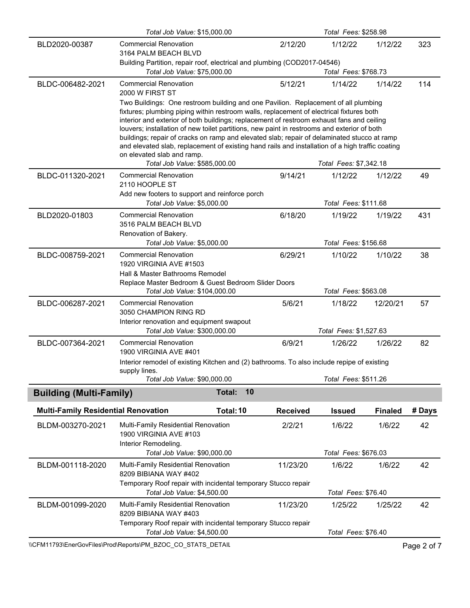|                                            | Total Job Value: \$15,000.00                                                                                         |                                                                                                                                                                                                                                                                                                                                                                            | Total Fees: \$258.98 |                        |                |             |  |  |  |
|--------------------------------------------|----------------------------------------------------------------------------------------------------------------------|----------------------------------------------------------------------------------------------------------------------------------------------------------------------------------------------------------------------------------------------------------------------------------------------------------------------------------------------------------------------------|----------------------|------------------------|----------------|-------------|--|--|--|
| BLD2020-00387                              | <b>Commercial Renovation</b><br>3164 PALM BEACH BLVD                                                                 | 2/12/20                                                                                                                                                                                                                                                                                                                                                                    | 1/12/22              | 1/12/22                | 323            |             |  |  |  |
|                                            | Building Partition, repair roof, electrical and plumbing (COD2017-04546)                                             |                                                                                                                                                                                                                                                                                                                                                                            |                      |                        |                |             |  |  |  |
|                                            | Total Job Value: \$75,000.00                                                                                         |                                                                                                                                                                                                                                                                                                                                                                            |                      | Total Fees: \$768.73   |                |             |  |  |  |
| BLDC-006482-2021                           | <b>Commercial Renovation</b><br>2000 W FIRST ST                                                                      |                                                                                                                                                                                                                                                                                                                                                                            | 5/12/21              | 1/14/22                | 1/14/22        | 114         |  |  |  |
|                                            | buildings; repair of cracks on ramp and elevated slab; repair of delaminated stucco at ramp                          | Two Buildings: One restroom building and one Pavilion. Replacement of all plumbing<br>fixtures; plumbing piping within restroom walls, replacement of electrical fixtures both<br>interior and exterior of both buildings; replacement of restroom exhaust fans and ceiling<br>louvers; installation of new toilet partitions, new paint in restrooms and exterior of both |                      |                        |                |             |  |  |  |
|                                            | and elevated slab, replacement of existing hand rails and installation of a high traffic coating                     |                                                                                                                                                                                                                                                                                                                                                                            |                      |                        |                |             |  |  |  |
|                                            | on elevated slab and ramp.                                                                                           |                                                                                                                                                                                                                                                                                                                                                                            |                      |                        |                |             |  |  |  |
|                                            | Total Job Value: \$585,000.00                                                                                        |                                                                                                                                                                                                                                                                                                                                                                            |                      | Total Fees: \$7,342.18 |                |             |  |  |  |
| BLDC-011320-2021                           | <b>Commercial Renovation</b><br>2110 HOOPLE ST                                                                       |                                                                                                                                                                                                                                                                                                                                                                            | 9/14/21              | 1/12/22                | 1/12/22        | 49          |  |  |  |
|                                            | Add new footers to support and reinforce porch                                                                       |                                                                                                                                                                                                                                                                                                                                                                            |                      |                        |                |             |  |  |  |
|                                            | Total Job Value: \$5,000.00                                                                                          |                                                                                                                                                                                                                                                                                                                                                                            |                      | Total Fees: \$111.68   |                |             |  |  |  |
| BLD2020-01803                              | <b>Commercial Renovation</b><br>3516 PALM BEACH BLVD<br>Renovation of Bakery.                                        |                                                                                                                                                                                                                                                                                                                                                                            | 6/18/20              | 1/19/22                | 1/19/22        | 431         |  |  |  |
|                                            | Total Job Value: \$5,000.00                                                                                          |                                                                                                                                                                                                                                                                                                                                                                            |                      | Total Fees: \$156.68   |                |             |  |  |  |
| BLDC-008759-2021                           | <b>Commercial Renovation</b>                                                                                         | 6/29/21                                                                                                                                                                                                                                                                                                                                                                    | 1/10/22              | 1/10/22                | 38             |             |  |  |  |
|                                            | 1920 VIRGINIA AVE #1503<br>Hall & Master Bathrooms Remodel                                                           |                                                                                                                                                                                                                                                                                                                                                                            |                      |                        |                |             |  |  |  |
|                                            | Replace Master Bedroom & Guest Bedroom Slider Doors                                                                  |                                                                                                                                                                                                                                                                                                                                                                            |                      |                        |                |             |  |  |  |
|                                            | Total Job Value: \$104,000.00                                                                                        |                                                                                                                                                                                                                                                                                                                                                                            |                      | Total Fees: \$563.08   |                |             |  |  |  |
| BLDC-006287-2021                           | <b>Commercial Renovation</b>                                                                                         |                                                                                                                                                                                                                                                                                                                                                                            | 5/6/21               | 1/18/22                | 12/20/21       | 57          |  |  |  |
|                                            | 3050 CHAMPION RING RD                                                                                                |                                                                                                                                                                                                                                                                                                                                                                            |                      |                        |                |             |  |  |  |
|                                            | Interior renovation and equipment swapout                                                                            |                                                                                                                                                                                                                                                                                                                                                                            |                      |                        |                |             |  |  |  |
|                                            | Total Job Value: \$300,000.00                                                                                        |                                                                                                                                                                                                                                                                                                                                                                            |                      | Total Fees: \$1,527.63 |                |             |  |  |  |
| BLDC-007364-2021                           | <b>Commercial Renovation</b>                                                                                         |                                                                                                                                                                                                                                                                                                                                                                            | 6/9/21               | 1/26/22                | 1/26/22        | 82          |  |  |  |
|                                            | 1900 VIRGINIA AVE #401<br>Interior remodel of existing Kitchen and (2) bathrooms. To also include repipe of existing |                                                                                                                                                                                                                                                                                                                                                                            |                      |                        |                |             |  |  |  |
|                                            | supply lines.                                                                                                        |                                                                                                                                                                                                                                                                                                                                                                            |                      |                        |                |             |  |  |  |
|                                            | Total Job Value: \$90,000.00                                                                                         |                                                                                                                                                                                                                                                                                                                                                                            |                      | Total Fees: \$511.26   |                |             |  |  |  |
| <b>Building (Multi-Family)</b>             |                                                                                                                      | 10<br>Total:                                                                                                                                                                                                                                                                                                                                                               |                      |                        |                |             |  |  |  |
| <b>Multi-Family Residential Renovation</b> |                                                                                                                      | Total: 10                                                                                                                                                                                                                                                                                                                                                                  | <b>Received</b>      | <b>Issued</b>          | <b>Finaled</b> | # Days      |  |  |  |
| BLDM-003270-2021                           | Multi-Family Residential Renovation<br>1900 VIRGINIA AVE #103                                                        |                                                                                                                                                                                                                                                                                                                                                                            | 2/2/21               | 1/6/22                 | 1/6/22         | 42          |  |  |  |
|                                            | Interior Remodeling.<br>Total Job Value: \$90,000.00                                                                 |                                                                                                                                                                                                                                                                                                                                                                            |                      | Total Fees: \$676.03   |                |             |  |  |  |
|                                            |                                                                                                                      |                                                                                                                                                                                                                                                                                                                                                                            |                      |                        |                |             |  |  |  |
| BLDM-001118-2020                           | Multi-Family Residential Renovation<br>8209 BIBIANA WAY #402                                                         |                                                                                                                                                                                                                                                                                                                                                                            | 11/23/20             | 1/6/22                 | 1/6/22         | 42          |  |  |  |
|                                            | Temporary Roof repair with incidental temporary Stucco repair<br>Total Job Value: \$4,500.00                         |                                                                                                                                                                                                                                                                                                                                                                            |                      | Total Fees: \$76.40    |                |             |  |  |  |
|                                            |                                                                                                                      |                                                                                                                                                                                                                                                                                                                                                                            |                      |                        |                |             |  |  |  |
| BLDM-001099-2020                           | Multi-Family Residential Renovation<br>8209 BIBIANA WAY #403                                                         |                                                                                                                                                                                                                                                                                                                                                                            | 11/23/20             | 1/25/22                | 1/25/22        | 42          |  |  |  |
|                                            | Temporary Roof repair with incidental temporary Stucco repair                                                        |                                                                                                                                                                                                                                                                                                                                                                            |                      |                        |                |             |  |  |  |
|                                            | Total Job Value: \$4,500.00                                                                                          |                                                                                                                                                                                                                                                                                                                                                                            |                      | Total Fees: \$76.40    |                |             |  |  |  |
|                                            | \\CFM11793\EnerGovFiles\Prod\Reports\PM_BZOC_CO_STATS_DETAIL                                                         |                                                                                                                                                                                                                                                                                                                                                                            |                      |                        |                | Page 2 of 7 |  |  |  |
|                                            |                                                                                                                      |                                                                                                                                                                                                                                                                                                                                                                            |                      |                        |                |             |  |  |  |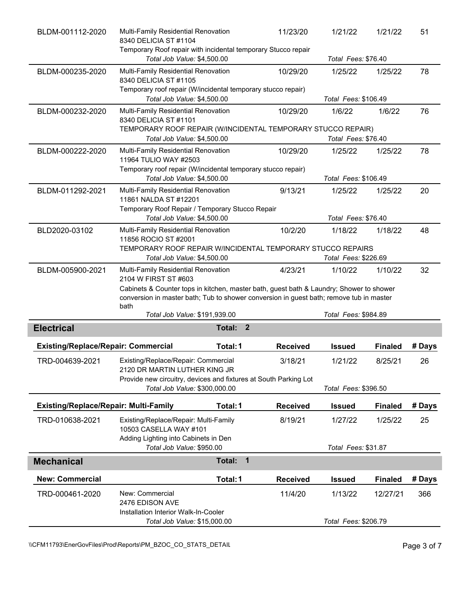| BLDM-001112-2020                             | Multi-Family Residential Renovation<br>8340 DELICIA ST #1104<br>Temporary Roof repair with incidental temporary Stucco repair                                                      | 11/23/20               | 1/21/22         | 1/21/22              | 51             |        |  |
|----------------------------------------------|------------------------------------------------------------------------------------------------------------------------------------------------------------------------------------|------------------------|-----------------|----------------------|----------------|--------|--|
|                                              | Total Job Value: \$4,500.00                                                                                                                                                        |                        |                 | Total Fees: \$76.40  |                |        |  |
| BLDM-000235-2020                             | Multi-Family Residential Renovation<br>8340 DELICIA ST #1105                                                                                                                       |                        | 10/29/20        | 1/25/22              | 1/25/22        | 78     |  |
|                                              | Temporary roof repair (W/incidental temporary stucco repair)                                                                                                                       |                        |                 |                      |                |        |  |
|                                              | Total Job Value: \$4,500.00                                                                                                                                                        |                        |                 | Total Fees: \$106.49 |                |        |  |
| BLDM-000232-2020                             | Multi-Family Residential Renovation<br>8340 DELICIA ST #1101                                                                                                                       |                        | 10/29/20        | 1/6/22               | 1/6/22         | 76     |  |
|                                              | TEMPORARY ROOF REPAIR (W/INCIDENTAL TEMPORARY STUCCO REPAIR)<br>Total Job Value: \$4,500.00                                                                                        |                        |                 | Total Fees: \$76.40  |                |        |  |
|                                              |                                                                                                                                                                                    |                        |                 |                      |                |        |  |
| BLDM-000222-2020                             | Multi-Family Residential Renovation<br>11964 TULIO WAY #2503                                                                                                                       |                        | 10/29/20        | 1/25/22              | 1/25/22        | 78     |  |
|                                              | Temporary roof repair (W/incidental temporary stucco repair)<br>Total Job Value: \$4,500.00                                                                                        |                        |                 | Total Fees: \$106.49 |                |        |  |
| BLDM-011292-2021                             | Multi-Family Residential Renovation                                                                                                                                                |                        | 9/13/21         | 1/25/22              | 1/25/22        | 20     |  |
|                                              | 11861 NALDA ST #12201                                                                                                                                                              |                        |                 |                      |                |        |  |
|                                              | Temporary Roof Repair / Temporary Stucco Repair                                                                                                                                    |                        |                 |                      |                |        |  |
|                                              | Total Job Value: \$4,500.00                                                                                                                                                        |                        |                 | Total Fees: \$76.40  |                |        |  |
| BLD2020-03102                                | Multi-Family Residential Renovation<br>11856 ROCIO ST #2001                                                                                                                        |                        | 10/2/20         | 1/18/22              | 1/18/22        | 48     |  |
|                                              | TEMPORARY ROOF REPAIR W/INCIDENTAL TEMPORARY STUCCO REPAIRS                                                                                                                        |                        |                 |                      |                |        |  |
|                                              | Total Job Value: \$4,500.00                                                                                                                                                        |                        |                 | Total Fees: \$226.69 |                |        |  |
| BLDM-005900-2021                             | Multi-Family Residential Renovation                                                                                                                                                |                        | 4/23/21         | 1/10/22              | 1/10/22        | 32     |  |
|                                              | 2104 W FIRST ST #603                                                                                                                                                               |                        |                 |                      |                |        |  |
|                                              | Cabinets & Counter tops in kitchen, master bath, guest bath & Laundry; Shower to shower<br>conversion in master bath; Tub to shower conversion in guest bath; remove tub in master |                        |                 |                      |                |        |  |
|                                              | bath<br>Total Job Value: \$191,939.00                                                                                                                                              |                        |                 | Total Fees: \$984.89 |                |        |  |
| <b>Electrical</b>                            |                                                                                                                                                                                    | Total:<br>$\mathbf{2}$ |                 |                      |                |        |  |
|                                              |                                                                                                                                                                                    |                        |                 |                      |                |        |  |
| <b>Existing/Replace/Repair: Commercial</b>   |                                                                                                                                                                                    | Total: 1               | <b>Received</b> | <b>Issued</b>        | <b>Finaled</b> | # Days |  |
| TRD-004639-2021                              | Existing/Replace/Repair: Commercial<br>2120 DR MARTIN LUTHER KING JR                                                                                                               |                        | 3/18/21         | 1/21/22              | 8/25/21        | 26     |  |
|                                              | Provide new circuitry, devices and fixtures at South Parking Lot                                                                                                                   |                        |                 |                      |                |        |  |
|                                              | Total Job Value: \$300,000.00                                                                                                                                                      |                        |                 | Total Fees: \$396.50 |                |        |  |
| <b>Existing/Replace/Repair: Multi-Family</b> |                                                                                                                                                                                    | Total: 1               | <b>Received</b> | <b>Issued</b>        | <b>Finaled</b> | # Days |  |
| TRD-010638-2021                              | Existing/Replace/Repair: Multi-Family<br>10503 CASELLA WAY #101                                                                                                                    |                        | 8/19/21         | 1/27/22              | 1/25/22        | 25     |  |
|                                              | Adding Lighting into Cabinets in Den                                                                                                                                               |                        |                 |                      |                |        |  |
|                                              | Total Job Value: \$950.00                                                                                                                                                          | Total Fees: \$31.87    |                 |                      |                |        |  |
|                                              |                                                                                                                                                                                    |                        |                 |                      |                |        |  |
| <b>Mechanical</b>                            |                                                                                                                                                                                    | Total:<br>$\mathbf{1}$ |                 |                      |                |        |  |
| <b>New: Commercial</b>                       |                                                                                                                                                                                    | Total: 1               | <b>Received</b> | <b>Issued</b>        | <b>Finaled</b> | # Days |  |
| TRD-000461-2020                              | New: Commercial                                                                                                                                                                    |                        | 11/4/20         | 1/13/22              | 12/27/21       | 366    |  |
|                                              | 2476 EDISON AVE                                                                                                                                                                    |                        |                 |                      |                |        |  |
|                                              | Installation Interior Walk-In-Cooler<br>Total Job Value: \$15,000.00                                                                                                               |                        |                 | Total Fees: \$206.79 |                |        |  |

\\CFM11793\EnerGovFiles\Prod\Reports\PM\_BZOC\_CO\_STATS\_DETAIL\PhysicalCefment Page 3 of 7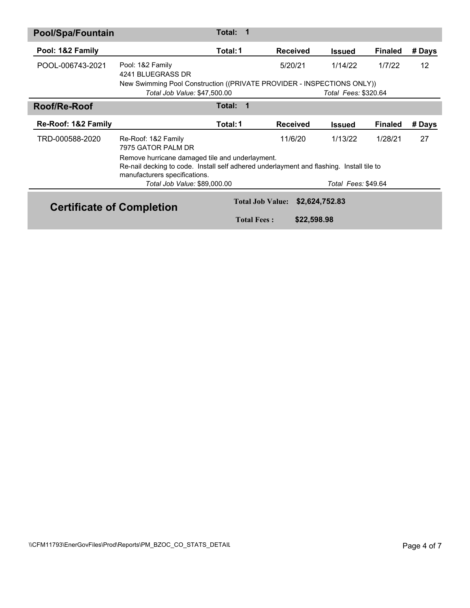| <b>Pool/Spa/Fountain</b>         |                                                                                                                                                                              | Total:<br>1             |                 |                      |                |        |  |
|----------------------------------|------------------------------------------------------------------------------------------------------------------------------------------------------------------------------|-------------------------|-----------------|----------------------|----------------|--------|--|
| Pool: 1&2 Family                 |                                                                                                                                                                              | Total: 1                | <b>Received</b> | <b>Issued</b>        | <b>Finaled</b> | # Days |  |
| POOL-006743-2021                 | Pool: 1&2 Family<br>4241 BLUEGRASS DR                                                                                                                                        |                         | 5/20/21         | 1/14/22              | 1/7/22         | 12     |  |
|                                  | New Swimming Pool Construction ((PRIVATE PROVIDER - INSPECTIONS ONLY))<br>Total Job Value: \$47,500.00                                                                       |                         |                 | Total Fees: \$320.64 |                |        |  |
| Roof/Re-Roof                     |                                                                                                                                                                              | <b>Total:</b><br>1      |                 |                      |                |        |  |
| Re-Roof: 1&2 Family              |                                                                                                                                                                              | Total: 1                | <b>Received</b> | <b>Issued</b>        | <b>Finaled</b> | # Days |  |
| TRD-000588-2020                  | Re-Roof: 1&2 Family<br>7975 GATOR PALM DR                                                                                                                                    |                         | 11/6/20         | 1/13/22              | 1/28/21        | 27     |  |
|                                  | Remove hurricane damaged tile and underlayment.<br>Re-nail decking to code. Install self adhered underlayment and flashing. Install tile to<br>manufacturers specifications. |                         |                 |                      |                |        |  |
|                                  | Total Job Value: \$89,000.00                                                                                                                                                 |                         |                 | Total Fees: \$49.64  |                |        |  |
| <b>Certificate of Completion</b> |                                                                                                                                                                              | <b>Total Job Value:</b> | \$2,624,752.83  |                      |                |        |  |
|                                  |                                                                                                                                                                              | <b>Total Fees:</b>      | \$22,598.98     |                      |                |        |  |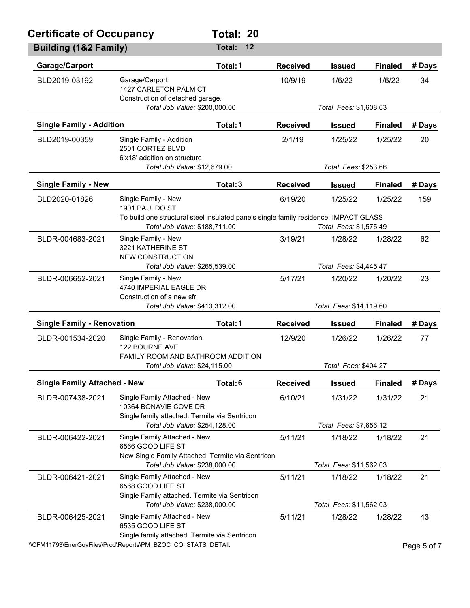| <b>Certificate of Occupancy</b>     |                                                                                                        | Total: 20                                                                                                     |    |                         |                         |                |             |  |
|-------------------------------------|--------------------------------------------------------------------------------------------------------|---------------------------------------------------------------------------------------------------------------|----|-------------------------|-------------------------|----------------|-------------|--|
| <b>Building (1&amp;2 Family)</b>    |                                                                                                        | Total:                                                                                                        | 12 |                         |                         |                |             |  |
| Garage/Carport                      |                                                                                                        | Total: 1                                                                                                      |    | <b>Received</b>         | <b>Issued</b>           | <b>Finaled</b> | # Days      |  |
| BLD2019-03192                       | Garage/Carport<br>1427 CARLETON PALM CT<br>Construction of detached garage.                            |                                                                                                               |    | 10/9/19                 | 1/6/22                  | 1/6/22         | 34          |  |
|                                     | Total Job Value: \$200,000.00                                                                          |                                                                                                               |    |                         | Total Fees: \$1,608.63  |                |             |  |
| <b>Single Family - Addition</b>     |                                                                                                        | Total: 1                                                                                                      |    | <b>Received</b>         | <b>Issued</b>           | <b>Finaled</b> | # Days      |  |
| BLD2019-00359                       | Single Family - Addition<br>2501 CORTEZ BLVD<br>6'x18' addition on structure                           |                                                                                                               |    | 2/1/19                  | 1/25/22                 | 1/25/22        | 20          |  |
|                                     | Total Job Value: \$12,679.00                                                                           |                                                                                                               |    |                         | Total Fees: \$253.66    |                |             |  |
| <b>Single Family - New</b>          |                                                                                                        | Total: 3                                                                                                      |    | <b>Received</b>         | <b>Issued</b>           | <b>Finaled</b> | # Days      |  |
| BLD2020-01826                       | Single Family - New<br>1901 PAULDO ST                                                                  |                                                                                                               |    | 6/19/20                 | 1/25/22                 | 1/25/22        | 159         |  |
|                                     | Total Job Value: \$188,711.00                                                                          | To build one structural steel insulated panels single family residence IMPACT GLASS<br>Total Fees: \$1,575.49 |    |                         |                         |                |             |  |
| BLDR-004683-2021                    | Single Family - New<br>3221 KATHERINE ST                                                               |                                                                                                               |    | 3/19/21                 | 1/28/22                 | 1/28/22        | 62          |  |
|                                     | <b>NEW CONSTRUCTION</b><br>Total Job Value: \$265,539.00                                               |                                                                                                               |    | Total Fees: \$4,445.47  |                         |                |             |  |
| BLDR-006652-2021                    | Single Family - New<br>4740 IMPERIAL EAGLE DR<br>Construction of a new sfr                             |                                                                                                               |    | 5/17/21                 | 1/20/22                 | 1/20/22        | 23          |  |
|                                     | Total Job Value: \$413,312.00                                                                          |                                                                                                               |    |                         | Total Fees: \$14,119.60 |                |             |  |
| <b>Single Family - Renovation</b>   |                                                                                                        | Total: 1                                                                                                      |    | <b>Received</b>         | <b>Issued</b>           | <b>Finaled</b> | # Days      |  |
| BLDR-001534-2020                    | Single Family - Renovation<br>122 BOURNE AVE<br><b>FAMILY ROOM AND BATHROOM ADDITION</b>               |                                                                                                               |    | 12/9/20                 | 1/26/22                 | 1/26/22        | 77          |  |
|                                     |                                                                                                        | Total Job Value: \$24,115.00                                                                                  |    | Total Fees: \$404.27    |                         |                |             |  |
| <b>Single Family Attached - New</b> |                                                                                                        | Total: 6                                                                                                      |    | <b>Received</b>         | <b>Issued</b>           | <b>Finaled</b> | # Days      |  |
| BLDR-007438-2021                    | Single Family Attached - New<br>10364 BONAVIE COVE DR<br>Single family attached. Termite via Sentricon |                                                                                                               |    | 6/10/21                 | 1/31/22                 | 1/31/22        | 21          |  |
|                                     | Total Job Value: \$254,128.00                                                                          |                                                                                                               |    |                         | Total Fees: \$7,656.12  |                |             |  |
| BLDR-006422-2021                    | Single Family Attached - New<br>6566 GOOD LIFE ST<br>New Single Family Attached. Termite via Sentricon |                                                                                                               |    | 5/11/21                 | 1/18/22                 | 1/18/22        | 21          |  |
| Total Job Value: \$238,000.00       |                                                                                                        |                                                                                                               |    | Total Fees: \$11,562.03 |                         |                |             |  |
| BLDR-006421-2021                    | Single Family Attached - New<br>6568 GOOD LIFE ST<br>Single Family attached. Termite via Sentricon     |                                                                                                               |    | 5/11/21                 | 1/18/22                 | 1/18/22        | 21          |  |
|                                     | Total Job Value: \$238,000.00                                                                          |                                                                                                               |    |                         | Total Fees: \$11,562.03 |                |             |  |
| BLDR-006425-2021                    | Single Family Attached - New<br>6535 GOOD LIFE ST<br>Single family attached. Termite via Sentricon     |                                                                                                               |    | 5/11/21                 | 1/28/22                 | 1/28/22        | 43          |  |
|                                     | \\CFM11793\EnerGovFiles\Prod\Reports\PM_BZOC_CO_STATS DETAIL                                           |                                                                                                               |    |                         |                         |                | Page 5 of 7 |  |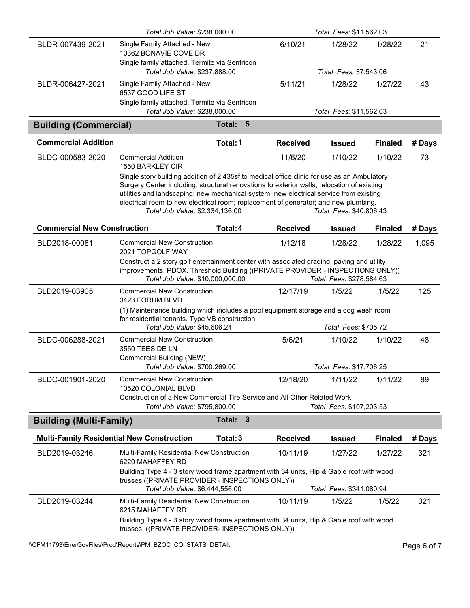|                                                  | Total Job Value: \$238,000.00                                                                                                                                                                                                                                                                                                                                                                                 |                          | Total Fees: \$11,562.03 |                          |                |        |
|--------------------------------------------------|---------------------------------------------------------------------------------------------------------------------------------------------------------------------------------------------------------------------------------------------------------------------------------------------------------------------------------------------------------------------------------------------------------------|--------------------------|-------------------------|--------------------------|----------------|--------|
| BLDR-007439-2021                                 | Single Family Attached - New<br>10362 BONAVIE COVE DR                                                                                                                                                                                                                                                                                                                                                         |                          | 6/10/21                 | 1/28/22                  | 1/28/22        | 21     |
|                                                  | Single family attached. Termite via Sentricon<br>Total Job Value: \$237,888.00                                                                                                                                                                                                                                                                                                                                |                          |                         | Total Fees: \$7,543.06   |                |        |
| BLDR-006427-2021                                 | Single Family Attached - New<br>6537 GOOD LIFE ST                                                                                                                                                                                                                                                                                                                                                             |                          | 5/11/21                 | 1/28/22                  | 1/27/22        | 43     |
|                                                  | Single family attached. Termite via Sentricon<br>Total Job Value: \$238,000.00                                                                                                                                                                                                                                                                                                                                |                          |                         | Total Fees: \$11,562.03  |                |        |
| <b>Building (Commercial)</b>                     |                                                                                                                                                                                                                                                                                                                                                                                                               | $5\phantom{1}$<br>Total: |                         |                          |                |        |
| <b>Commercial Addition</b>                       |                                                                                                                                                                                                                                                                                                                                                                                                               | Total: 1                 | <b>Received</b>         | <b>Issued</b>            | <b>Finaled</b> | # Days |
| BLDC-000583-2020                                 | Commercial Addition<br>1550 BARKLEY CIR                                                                                                                                                                                                                                                                                                                                                                       |                          | 11/6/20                 | 1/10/22                  | 1/10/22        | 73     |
|                                                  | Single story building addition of 2,435sf to medical office clinic for use as an Ambulatory<br>Surgery Center including: structural renovations to exterior walls; relocation of existing<br>utilities and landscaping; new mechanical system; new electrical service from existing<br>electrical room to new electrical room; replacement of generator; and new plumbing.<br>Total Job Value: \$2,334,136.00 |                          |                         | Total Fees: \$40,806.43  |                |        |
| <b>Commercial New Construction</b>               |                                                                                                                                                                                                                                                                                                                                                                                                               | Total: 4                 | <b>Received</b>         | <b>Issued</b>            | <b>Finaled</b> | # Days |
| BLD2018-00081                                    | <b>Commercial New Construction</b><br>2021 TOPGOLF WAY                                                                                                                                                                                                                                                                                                                                                        |                          | 1/12/18                 | 1/28/22                  | 1/28/22        | 1,095  |
|                                                  | Construct a 2 story golf entertainment center with associated grading, paving and utility<br>improvements. PDOX. Threshold Building ((PRIVATE PROVIDER - INSPECTIONS ONLY))<br>Total Job Value: \$10,000,000.00                                                                                                                                                                                               |                          |                         | Total Fees: \$278,584.63 |                |        |
| BLD2019-03905                                    | <b>Commercial New Construction</b><br>3423 FORUM BLVD                                                                                                                                                                                                                                                                                                                                                         |                          | 12/17/19                | 1/5/22                   | 1/5/22         | 125    |
|                                                  | (1) Maintenance building which includes a pool equipment storage and a dog wash room<br>for residential tenants. Type VB construction                                                                                                                                                                                                                                                                         |                          |                         |                          |                |        |
|                                                  | Total Job Value: \$45,606.24                                                                                                                                                                                                                                                                                                                                                                                  |                          |                         | Total Fees: \$705.72     |                |        |
| BLDC-006288-2021                                 | <b>Commercial New Construction</b><br>3550 TEESIDE LN<br>Commercial Building (NEW)                                                                                                                                                                                                                                                                                                                            |                          | 5/6/21                  | 1/10/22                  | 1/10/22        | 48     |
|                                                  | Total Job Value: \$700,269.00                                                                                                                                                                                                                                                                                                                                                                                 |                          |                         | Total Fees: \$17,706.25  |                |        |
| BLDC-001901-2020                                 | <b>Commercial New Construction</b><br>10520 COLONIAL BLVD                                                                                                                                                                                                                                                                                                                                                     |                          | 12/18/20                | 1/11/22                  | 1/11/22        | 89     |
|                                                  | Construction of a New Commercial Tire Service and All Other Related Work.<br>Total Job Value: \$795,800.00<br>Total Fees: \$107,203.53                                                                                                                                                                                                                                                                        |                          |                         |                          |                |        |
| <b>Building (Multi-Family)</b>                   |                                                                                                                                                                                                                                                                                                                                                                                                               | $\mathbf{3}$<br>Total:   |                         |                          |                |        |
| <b>Multi-Family Residential New Construction</b> |                                                                                                                                                                                                                                                                                                                                                                                                               | Total: 3                 | <b>Received</b>         | <b>Issued</b>            | <b>Finaled</b> | # Days |
| BLD2019-03246                                    | Multi-Family Residential New Construction<br>6220 MAHAFFEY RD                                                                                                                                                                                                                                                                                                                                                 |                          | 10/11/19                | 1/27/22                  | 1/27/22        | 321    |
|                                                  | Building Type 4 - 3 story wood frame apartment with 34 units, Hip & Gable roof with wood<br>trusses ((PRIVATE PROVIDER - INSPECTIONS ONLY))<br>Total Job Value: \$6,444,556.00                                                                                                                                                                                                                                |                          |                         | Total Fees: \$341,080.94 |                |        |
| BLD2019-03244                                    | Multi-Family Residential New Construction                                                                                                                                                                                                                                                                                                                                                                     |                          | 10/11/19                | 1/5/22                   | 1/5/22         | 321    |
|                                                  | 6215 MAHAFFEY RD<br>Building Type 4 - 3 story wood frame apartment with 34 units, Hip & Gable roof with wood                                                                                                                                                                                                                                                                                                  |                          |                         |                          |                |        |
|                                                  | trusses ((PRIVATE PROVIDER- INSPECTIONS ONLY))                                                                                                                                                                                                                                                                                                                                                                |                          |                         |                          |                |        |

\\CFM11793\EnerGovFiles\Prod\Reports\PM\_BZOC\_CO\_STATS\_DETAIL\PhysicalCefment Page 6 of 7